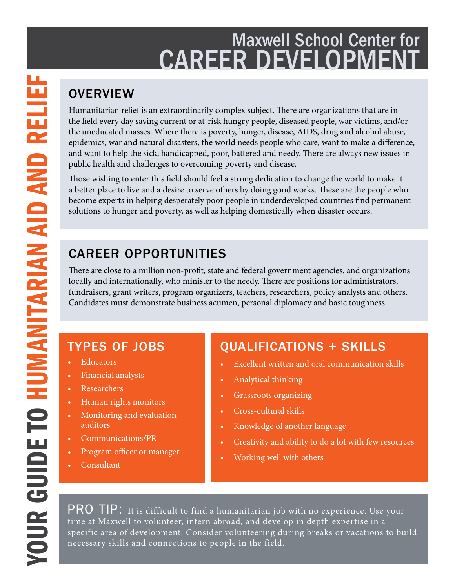# Maxwell School Center for CAREER DEVELOPMENT

## **OVERVIEW**

Humanitarian relief is an extraordinarily complex subject. There are organizations that are in the field every day saving current or at-risk hungry people, diseased people, war victims, and/or the uneducated masses. Where there is poverty, hunger, disease, AIDS, drug and alcohol abuse, epidemics, war and natural disasters, the world needs people who care, want to make a difference, and want to help the sick, handicapped, poor, battered and needy. There are always new issues in public health and challenges to overcoming poverty and disease.

Those wishing to enter this field should feel a strong dedication to change the world to make it a better place to live and a desire to serve others by doing good works. These are the people who become experts in helping desperately poor people in underdeveloped countries find permanent solutions to hunger and poverty, as well as helping domestically when disaster occurs.

# CAREER OPPORTUNITIES

There are close to a million non-profit, state and federal government agencies, and organizations locally and internationally, who minister to the needy. There are positions for administrators, fundraisers, grant writers, program organizers, teachers, researchers, policy analysts and others. Candidates must demonstrate business acumen, personal diplomacy and basic toughness.

# TYPES OF JOBS

- **Educators**
- Financial analysts
- Researchers
- Human rights monitors
- Monitoring and evaluation auditors
- Communications/PR
- Program officer or manager
- Consultant

## QUALIFICATIONS + SKILLS

- Excellent written and oral communication skills
- Analytical thinking
- Grassroots organizing
- Cross-cultural skills
- Knowledge of another language
- Creativity and ability to do a lot with few resources
- Working well with others

PRO TIP: It is difficult to find a humanitarian job with no experience. Use your time at Maxwell to volunteer, intern abroad, and develop in depth expertise in a specific area of development. Consider volunteering during breaks or vacations to build necessary skills and connections to people in the field.